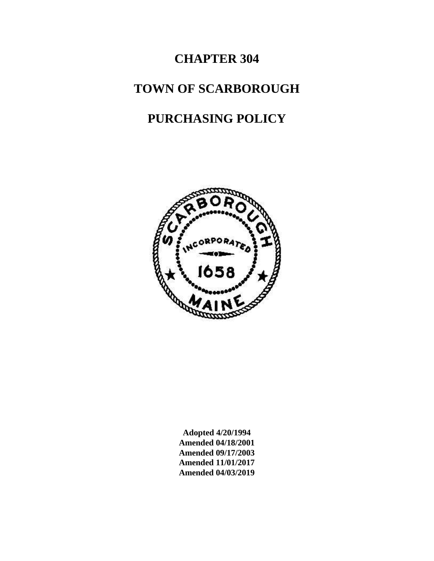# **CHAPTER 304**

# **TOWN OF SCARBOROUGH**

# **PURCHASING POLICY**



**Adopted 4/20/1994 Amended 04/18/2001 Amended 09/17/2003 Amended 11/01/2017 Amended 04/03/2019**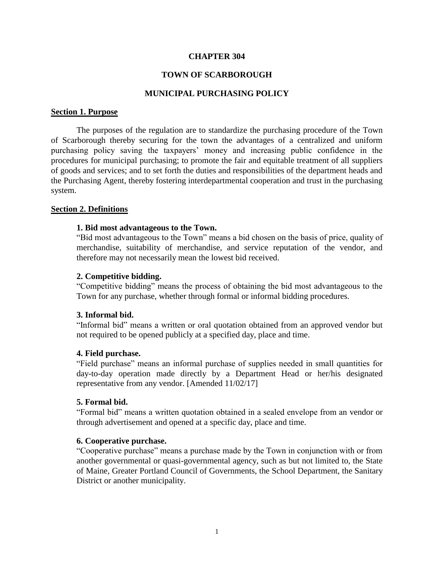### **CHAPTER 304**

### **TOWN OF SCARBOROUGH**

## **MUNICIPAL PURCHASING POLICY**

#### <span id="page-2-0"></span>**Section 1. Purpose**

The purposes of the regulation are to standardize the purchasing procedure of the Town of Scarborough thereby securing for the town the advantages of a centralized and uniform purchasing policy saving the taxpayers' money and increasing public confidence in the procedures for municipal purchasing; to promote the fair and equitable treatment of all suppliers of goods and services; and to set forth the duties and responsibilities of the department heads and the Purchasing Agent, thereby fostering interdepartmental cooperation and trust in the purchasing system.

#### <span id="page-2-2"></span><span id="page-2-1"></span>**Section 2. Definitions**

#### **1. Bid most advantageous to the Town.**

"Bid most advantageous to the Town" means a bid chosen on the basis of price, quality of merchandise, suitability of merchandise, and service reputation of the vendor, and therefore may not necessarily mean the lowest bid received.

#### <span id="page-2-3"></span>**2. Competitive bidding.**

"Competitive bidding" means the process of obtaining the bid most advantageous to the Town for any purchase, whether through formal or informal bidding procedures.

#### <span id="page-2-4"></span>**3. Informal bid.**

"Informal bid" means a written or oral quotation obtained from an approved vendor but not required to be opened publicly at a specified day, place and time.

#### <span id="page-2-5"></span>**4. Field purchase.**

"Field purchase" means an informal purchase of supplies needed in small quantities for day-to-day operation made directly by a Department Head or her/his designated representative from any vendor. [Amended 11/02/17]

#### <span id="page-2-6"></span>**5. Formal bid.**

"Formal bid" means a written quotation obtained in a sealed envelope from an vendor or through advertisement and opened at a specific day, place and time.

#### <span id="page-2-7"></span>**6. Cooperative purchase.**

"Cooperative purchase" means a purchase made by the Town in conjunction with or from another governmental or quasi-governmental agency, such as but not limited to, the State of Maine, Greater Portland Council of Governments, the School Department, the Sanitary District or another municipality.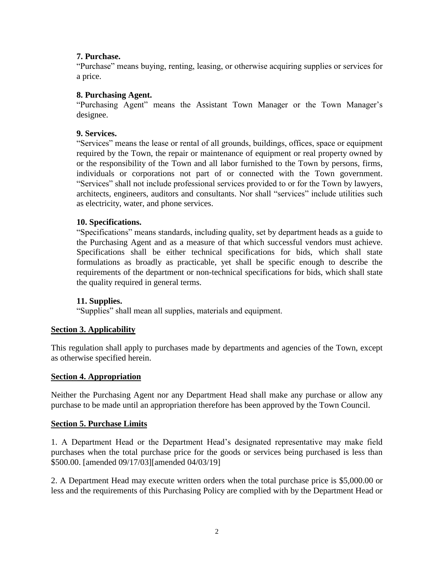# <span id="page-3-0"></span>**7. Purchase.**

"Purchase" means buying, renting, leasing, or otherwise acquiring supplies or services for a price.

## <span id="page-3-1"></span>**8. Purchasing Agent.**

"Purchasing Agent" means the Assistant Town Manager or the Town Manager's designee.

## <span id="page-3-2"></span>**9. Services.**

"Services" means the lease or rental of all grounds, buildings, offices, space or equipment required by the Town, the repair or maintenance of equipment or real property owned by or the responsibility of the Town and all labor furnished to the Town by persons, firms, individuals or corporations not part of or connected with the Town government. "Services" shall not include professional services provided to or for the Town by lawyers, architects, engineers, auditors and consultants. Nor shall "services" include utilities such as electricity, water, and phone services.

## <span id="page-3-3"></span>**10. Specifications.**

"Specifications" means standards, including quality, set by department heads as a guide to the Purchasing Agent and as a measure of that which successful vendors must achieve. Specifications shall be either technical specifications for bids, which shall state formulations as broadly as practicable, yet shall be specific enough to describe the requirements of the department or non-technical specifications for bids, which shall state the quality required in general terms.

## <span id="page-3-4"></span>**11. Supplies.**

"Supplies" shall mean all supplies, materials and equipment.

# <span id="page-3-5"></span>**Section 3. Applicability**

This regulation shall apply to purchases made by departments and agencies of the Town, except as otherwise specified herein.

## <span id="page-3-6"></span>**Section 4. Appropriation**

Neither the Purchasing Agent nor any Department Head shall make any purchase or allow any purchase to be made until an appropriation therefore has been approved by the Town Council.

## <span id="page-3-7"></span>**Section 5. Purchase Limits**

1. A Department Head or the Department Head's designated representative may make field purchases when the total purchase price for the goods or services being purchased is less than \$500.00. [amended 09/17/03][amended 04/03/19]

2. A Department Head may execute written orders when the total purchase price is \$5,000.00 or less and the requirements of this Purchasing Policy are complied with by the Department Head or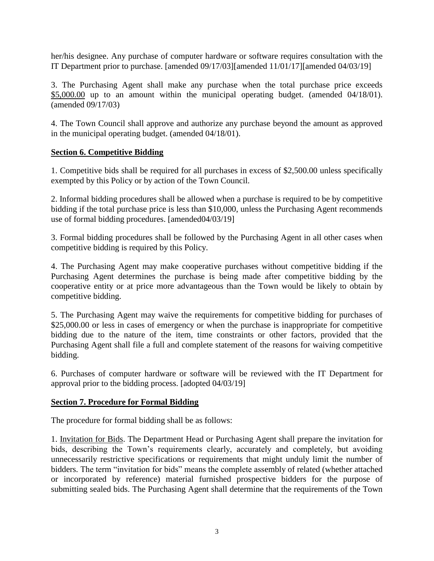her/his designee. Any purchase of computer hardware or software requires consultation with the IT Department prior to purchase. [amended 09/17/03][amended 11/01/17][amended 04/03/19]

3. The Purchasing Agent shall make any purchase when the total purchase price exceeds \$5,000.00 up to an amount within the municipal operating budget. (amended 04/18/01). (amended 09/17/03)

4. The Town Council shall approve and authorize any purchase beyond the amount as approved in the municipal operating budget. (amended 04/18/01).

## <span id="page-4-0"></span>**Section 6. Competitive Bidding**

1. Competitive bids shall be required for all purchases in excess of \$2,500.00 unless specifically exempted by this Policy or by action of the Town Council.

2. Informal bidding procedures shall be allowed when a purchase is required to be by competitive bidding if the total purchase price is less than \$10,000, unless the Purchasing Agent recommends use of formal bidding procedures. [amended04/03/19]

3. Formal bidding procedures shall be followed by the Purchasing Agent in all other cases when competitive bidding is required by this Policy.

4. The Purchasing Agent may make cooperative purchases without competitive bidding if the Purchasing Agent determines the purchase is being made after competitive bidding by the cooperative entity or at price more advantageous than the Town would be likely to obtain by competitive bidding.

5. The Purchasing Agent may waive the requirements for competitive bidding for purchases of \$25,000.00 or less in cases of emergency or when the purchase is inappropriate for competitive bidding due to the nature of the item, time constraints or other factors, provided that the Purchasing Agent shall file a full and complete statement of the reasons for waiving competitive bidding.

6. Purchases of computer hardware or software will be reviewed with the IT Department for approval prior to the bidding process. [adopted 04/03/19]

## <span id="page-4-1"></span>**Section 7. Procedure for Formal Bidding**

The procedure for formal bidding shall be as follows:

1. Invitation for Bids. The Department Head or Purchasing Agent shall prepare the invitation for bids, describing the Town's requirements clearly, accurately and completely, but avoiding unnecessarily restrictive specifications or requirements that might unduly limit the number of bidders. The term "invitation for bids" means the complete assembly of related (whether attached or incorporated by reference) material furnished prospective bidders for the purpose of submitting sealed bids. The Purchasing Agent shall determine that the requirements of the Town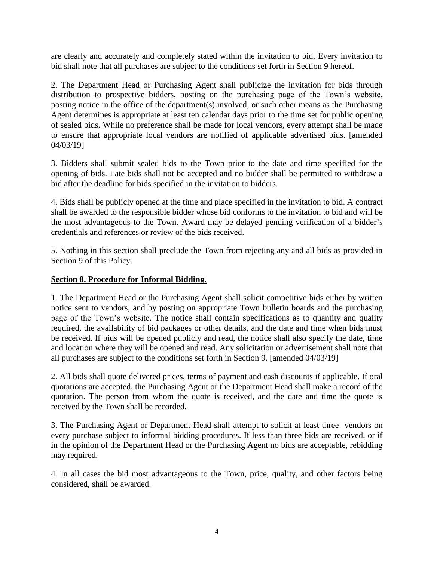are clearly and accurately and completely stated within the invitation to bid. Every invitation to bid shall note that all purchases are subject to the conditions set forth in Section 9 hereof.

2. The Department Head or Purchasing Agent shall publicize the invitation for bids through distribution to prospective bidders, posting on the purchasing page of the Town's website, posting notice in the office of the department(s) involved, or such other means as the Purchasing Agent determines is appropriate at least ten calendar days prior to the time set for public opening of sealed bids. While no preference shall be made for local vendors, every attempt shall be made to ensure that appropriate local vendors are notified of applicable advertised bids. [amended 04/03/19]

3. Bidders shall submit sealed bids to the Town prior to the date and time specified for the opening of bids. Late bids shall not be accepted and no bidder shall be permitted to withdraw a bid after the deadline for bids specified in the invitation to bidders.

4. Bids shall be publicly opened at the time and place specified in the invitation to bid. A contract shall be awarded to the responsible bidder whose bid conforms to the invitation to bid and will be the most advantageous to the Town. Award may be delayed pending verification of a bidder's credentials and references or review of the bids received.

5. Nothing in this section shall preclude the Town from rejecting any and all bids as provided in Section 9 of this Policy.

# <span id="page-5-0"></span>**Section 8. Procedure for Informal Bidding.**

1. The Department Head or the Purchasing Agent shall solicit competitive bids either by written notice sent to vendors, and by posting on appropriate Town bulletin boards and the purchasing page of the Town's website. The notice shall contain specifications as to quantity and quality required, the availability of bid packages or other details, and the date and time when bids must be received. If bids will be opened publicly and read, the notice shall also specify the date, time and location where they will be opened and read. Any solicitation or advertisement shall note that all purchases are subject to the conditions set forth in Section 9. [amended 04/03/19]

2. All bids shall quote delivered prices, terms of payment and cash discounts if applicable. If oral quotations are accepted, the Purchasing Agent or the Department Head shall make a record of the quotation. The person from whom the quote is received, and the date and time the quote is received by the Town shall be recorded.

3. The Purchasing Agent or Department Head shall attempt to solicit at least three vendors on every purchase subject to informal bidding procedures. If less than three bids are received, or if in the opinion of the Department Head or the Purchasing Agent no bids are acceptable, rebidding may required.

4. In all cases the bid most advantageous to the Town, price, quality, and other factors being considered, shall be awarded.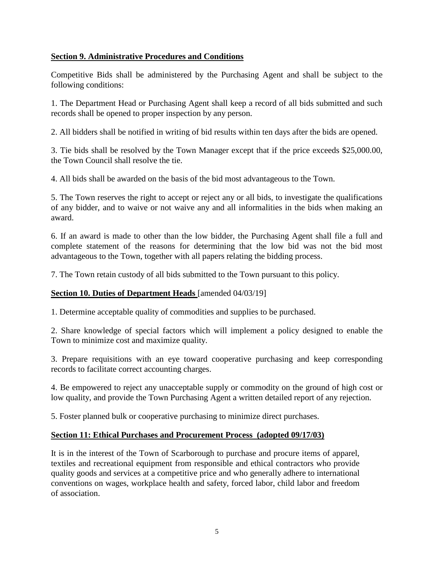# <span id="page-6-0"></span>**Section 9. Administrative Procedures and Conditions**

Competitive Bids shall be administered by the Purchasing Agent and shall be subject to the following conditions:

1. The Department Head or Purchasing Agent shall keep a record of all bids submitted and such records shall be opened to proper inspection by any person.

2. All bidders shall be notified in writing of bid results within ten days after the bids are opened.

3. Tie bids shall be resolved by the Town Manager except that if the price exceeds \$25,000.00, the Town Council shall resolve the tie.

4. All bids shall be awarded on the basis of the bid most advantageous to the Town.

5. The Town reserves the right to accept or reject any or all bids, to investigate the qualifications of any bidder, and to waive or not waive any and all informalities in the bids when making an award.

6. If an award is made to other than the low bidder, the Purchasing Agent shall file a full and complete statement of the reasons for determining that the low bid was not the bid most advantageous to the Town, together with all papers relating the bidding process.

7. The Town retain custody of all bids submitted to the Town pursuant to this policy.

# <span id="page-6-1"></span>**Section 10. Duties of Department Heads** [amended 04/03/19]

1. Determine acceptable quality of commodities and supplies to be purchased.

2. Share knowledge of special factors which will implement a policy designed to enable the Town to minimize cost and maximize quality.

3. Prepare requisitions with an eye toward cooperative purchasing and keep corresponding records to facilitate correct accounting charges.

4. Be empowered to reject any unacceptable supply or commodity on the ground of high cost or low quality, and provide the Town Purchasing Agent a written detailed report of any rejection.

5. Foster planned bulk or cooperative purchasing to minimize direct purchases.

# <span id="page-6-2"></span>**Section 11: Ethical Purchases and Procurement Process (adopted 09/17/03)**

It is in the interest of the Town of Scarborough to purchase and procure items of apparel, textiles and recreational equipment from responsible and ethical contractors who provide quality goods and services at a competitive price and who generally adhere to international conventions on wages, workplace health and safety, forced labor, child labor and freedom of association.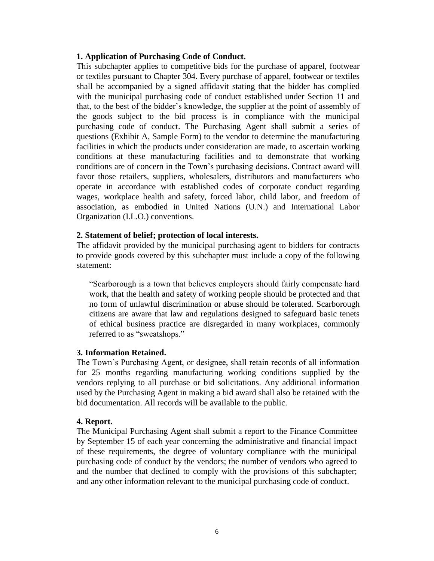#### <span id="page-7-0"></span>**1. Application of Purchasing Code of Conduct.**

This subchapter applies to competitive bids for the purchase of apparel, footwear or textiles pursuant to Chapter 304. Every purchase of apparel, footwear or textiles shall be accompanied by a signed affidavit stating that the bidder has complied with the municipal purchasing code of conduct established under Section 11 and that, to the best of the bidder's knowledge, the supplier at the point of assembly of the goods subject to the bid process is in compliance with the municipal purchasing code of conduct. The Purchasing Agent shall submit a series of questions (Exhibit A, Sample Form) to the vendor to determine the manufacturing facilities in which the products under consideration are made, to ascertain working conditions at these manufacturing facilities and to demonstrate that working conditions are of concern in the Town's purchasing decisions. Contract award will favor those retailers, suppliers, wholesalers, distributors and manufacturers who operate in accordance with established codes of corporate conduct regarding wages, workplace health and safety, forced labor, child labor, and freedom of association, as embodied in United Nations (U.N.) and International Labor Organization (I.L.O.) conventions.

### <span id="page-7-1"></span>**2. Statement of belief; protection of local interests.**

The affidavit provided by the municipal purchasing agent to bidders for contracts to provide goods covered by this subchapter must include a copy of the following statement:

"Scarborough is a town that believes employers should fairly compensate hard work, that the health and safety of working people should be protected and that no form of unlawful discrimination or abuse should be tolerated. Scarborough citizens are aware that law and regulations designed to safeguard basic tenets of ethical business practice are disregarded in many workplaces, commonly referred to as "sweatshops."

#### <span id="page-7-2"></span>**3. Information Retained.**

The Town's Purchasing Agent, or designee, shall retain records of all information for 25 months regarding manufacturing working conditions supplied by the vendors replying to all purchase or bid solicitations. Any additional information used by the Purchasing Agent in making a bid award shall also be retained with the bid documentation. All records will be available to the public.

#### <span id="page-7-3"></span>**4. Report.**

The Municipal Purchasing Agent shall submit a report to the Finance Committee by September 15 of each year concerning the administrative and financial impact of these requirements, the degree of voluntary compliance with the municipal purchasing code of conduct by the vendors; the number of vendors who agreed to and the number that declined to comply with the provisions of this subchapter; and any other information relevant to the municipal purchasing code of conduct.